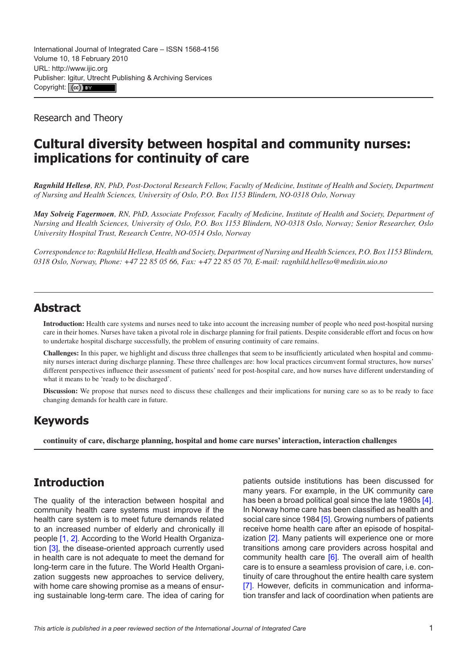Research and Theory

# **Cultural diversity between hospital and community nurses: implications for continuity of care**

*Ragnhild Hellesø, RN, PhD, Post-Doctoral Research Fellow, Faculty of Medicine, Institute of Health and Society, Department of Nursing and Health Sciences, University of Oslo, P.O. Box 1153 Blindern, NO-0318 Oslo, Norway*

*May Solveig Fagermoen, RN, PhD, Associate Professor, Faculty of Medicine, Institute of Health and Society, Department of Nursing and Health Sciences, University of Oslo, P.O. Box 1153 Blindern, NO-0318 Oslo, Norway; Senior Researcher, Oslo University Hospital Trust, Research Centre, NO-0514 Oslo, Norway*

*Correspondence to: Ragnhild Hellesø, Health and Society, Department of Nursing and Health Sciences, P.O. Box 1153 Blindern, 0318 Oslo, Norway, Phone: +47 22 85 05 66, Fax: +47 22 85 05 70, E-mail: [ragnhild.helleso@medisin.uio.no](mailto:ragnhild.helleso@medisin.uio.no)*

### **Abstract**

**Introduction:** Health care systems and nurses need to take into account the increasing number of people who need post-hospital nursing care in their homes. Nurses have taken a pivotal role in discharge planning for frail patients. Despite considerable effort and focus on how to undertake hospital discharge successfully, the problem of ensuring continuity of care remains.

**Challenges:** In this paper, we highlight and discuss three challenges that seem to be insufficiently articulated when hospital and community nurses interact during discharge planning. These three challenges are: how local practices circumvent formal structures, how nurses' different perspectives influence their assessment of patients' need for post-hospital care, and how nurses have different understanding of what it means to be 'ready to be discharged'.

**Discussion:** We propose that nurses need to discuss these challenges and their implications for nursing care so as to be ready to face changing demands for health care in future.

### **Keywords**

**continuity of care, discharge planning, hospital and home care nurses' interaction, interaction challenges**

## **Introduction**

The quality of the interaction between hospital and community health care systems must improve if the health care system is to meet future demands related to an increased number of elderly and chronically ill people [\[1, 2\]](#page-6-0). According to the World Health Organization [[3](#page-6-0)], the disease-oriented approach currently used in health care is not adequate to meet the demand for long-term care in the future. The World Health Organization suggests new approaches to service delivery, with home care showing promise as a means of ensuring sustainable long-term care. The idea of caring for patients outside institutions has been discussed for many years. For example, in the UK community care has been a broad political goal since the late 1980s [[4](#page-6-0)]. In Norway home care has been classified as health and social care since 1984 [\[5\]](#page-6-0). Growing numbers of patients receive home health care after an episode of hospital-ization [\[2\]](#page-6-0). Many patients will experience one or more transitions among care providers across hospital and community health care [\[6\]](#page-6-0). The overall aim of health care is to ensure a seamless provision of care, i.e. continuity of care throughout the entire health care system [[7](#page-6-0)]. However, deficits in communication and information transfer and lack of coordination when patients are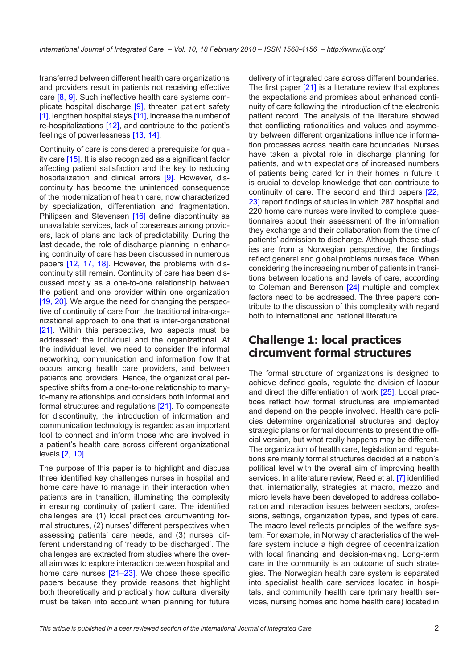transferred between different health care organizations and providers result in patients not receiving effective care [[8](#page-6-0), [9\]](#page-6-0). Such ineffective health care systems complicate hospital discharge [[9](#page-6-0)], threaten patient safety [\[1\]](#page-6-0), lengthen hospital stays [[11](#page-6-0)], increase the number of re-hospitalizations [\[12](#page-6-0)], and contribute to the patient's feelings of powerlessness [[13, 14](#page-6-0)].

Continuity of care is considered a prerequisite for quality care [[15\]](#page-6-0). It is also recognized as a significant factor affecting patient satisfaction and the key to reducing hospitalization and clinical errors [[9](#page-6-0)]. However, discontinuity has become the unintended consequence of the modernization of health care, now characterized by specialization, differentiation and fragmentation. Philipsen and Stevensen [[16\]](#page-6-0) define discontinuity as unavailable services, lack of consensus among providers, lack of plans and lack of predictability. During the last decade, the role of discharge planning in enhancing continuity of care has been discussed in numerous papers [[12,](#page-6-0) [17,](#page-6-0) [18\]](#page-6-0). However, the problems with discontinuity still remain. Continuity of care has been discussed mostly as a one-to-one relationship between the patient and one provider within one organization [\[19, 20](#page-6-0)]. We argue the need for changing the perspective of continuity of care from the traditional intra-organizational approach to one that is inter-organizational [\[21\]](#page-6-0). Within this perspective, two aspects must be addressed: the individual and the organizational. At the individual level, we need to consider the informal networking, communication and information flow that occurs among health care providers, and between patients and providers. Hence, the organizational perspective shifts from a one-to-one relationship to manyto-many relationships and considers both informal and formal structures and regulations [[21\]](#page-6-0). To compensate for discontinuity, the introduction of information and communication technology is regarded as an important tool to connect and inform those who are involved in a patient's health care across different organizational levels [[2](#page-6-0), [10\]](#page-6-0).

The purpose of this paper is to highlight and discuss three identified key challenges nurses in hospital and home care have to manage in their interaction when patients are in transition, illuminating the complexity in ensuring continuity of patient care. The identified challenges are (1) local practices circumventing formal structures, (2) nurses' different perspectives when assessing patients' care needs, and (3) nurses' different understanding of 'ready to be discharged'. The challenges are extracted from studies where the overall aim was to explore interaction between hospital and home care nurses [[21–23](#page-6-0)]. We chose these specific papers because they provide reasons that highlight both theoretically and practically how cultural diversity must be taken into account when planning for future

delivery of integrated care across different boundaries. The first paper [[21\]](#page-6-0) is a literature review that explores the expectations and promises about enhanced continuity of care following the introduction of the electronic patient record. The analysis of the literature showed that conflicting rationalities and values and asymmetry between different organizations influence information processes across health care boundaries. Nurses have taken a pivotal role in discharge planning for patients, and with expectations of increased numbers of patients being cared for in their homes in future it is crucial to develop knowledge that can contribute to continuity of care. The second and third papers [[22,](#page-6-0) [23](#page-6-0)] report findings of studies in which 287 hospital and 220 home care nurses were invited to complete questionnaires about their assessment of the information they exchange and their collaboration from the time of patients' admission to discharge. Although these studies are from a Norwegian perspective, the findings reflect general and global problems nurses face. When considering the increasing number of patients in transitions between locations and levels of care, according to Coleman and Berenson [\[24](#page-6-0)] multiple and complex factors need to be addressed. The three papers contribute to the discussion of this complexity with regard both to international and national literature.

#### **Challenge 1: local practices circumvent formal structures**

The formal structure of organizations is designed to achieve defined goals, regulate the division of labour and direct the differentiation of work [\[25](#page-6-0)]. Local practices reflect how formal structures are implemented and depend on the people involved. Health care policies determine organizational structures and deploy strategic plans or formal documents to present the official version, but what really happens may be different. The organization of health care, legislation and regulations are mainly formal structures decided at a nation's political level with the overall aim of improving health services. In a literature review, Reed et al. [[7](#page-6-0)] identified that, internationally, strategies at macro, mezzo and micro levels have been developed to address collaboration and interaction issues between sectors, professions, settings, organization types, and types of care. The macro level reflects principles of the welfare system. For example, in Norway characteristics of the welfare system include a high degree of decentralization with local financing and decision-making. Long-term care in the community is an outcome of such strategies. The Norwegian health care system is separated into specialist health care services located in hospitals, and community health care (primary health services, nursing homes and home health care) located in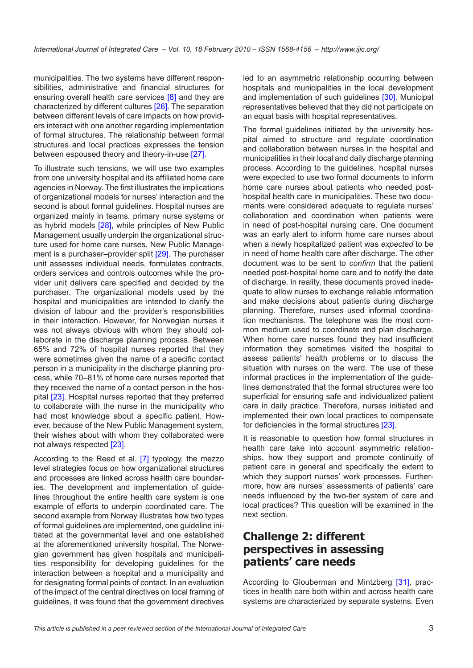municipalities. The two systems have different responsibilities, administrative and financial structures for ensuring overall health care services [\[8](#page-6-0)] and they are characterized by different cultures [[26\]](#page-6-0). The separation between different levels of care impacts on how providers interact with one another regarding implementation of formal structures. The relationship between formal structures and local practices expresses the tension between espoused theory and theory-in-use [\[27](#page-6-0)].

To illustrate such tensions, we will use two examples from one university hospital and its affiliated home care agencies in Norway. The first illustrates the implications of organizational models for nurses' interaction and the second is about formal guidelines. Hospital nurses are organized mainly in teams, primary nurse systems or as hybrid models [\[28](#page-7-0)], while principles of New Public Management usually underpin the organizational structure used for home care nurses. New Public Management is a purchaser–provider split [\[29](#page-7-0)]. The purchaser unit assesses individual needs, formulates contracts, orders services and controls outcomes while the provider unit delivers care specified and decided by the purchaser. The organizational models used by the hospital and municipalities are intended to clarify the division of labour and the provider's responsibilities in their interaction. However, for Norwegian nurses it was not always obvious with whom they should collaborate in the discharge planning process. Between 65% and 72% of hospital nurses reported that they were sometimes given the name of a specific contact person in a municipality in the discharge planning process, while 70–81% of home care nurses reported that they received the name of a contact person in the hospital [[23\]](#page-6-0). Hospital nurses reported that they preferred to collaborate with the nurse in the municipality who had most knowledge about a specific patient. However, because of the New Public Management system, their wishes about with whom they collaborated were not always respected [\[23](#page-6-0)].

According to the Reed et al. [\[7\]](#page-6-0) typology, the mezzo level strategies focus on how organizational structures and processes are linked across health care boundaries. The development and implementation of guidelines throughout the entire health care system is one example of efforts to underpin coordinated care. The second example from Norway illustrates how two types of formal guidelines are implemented, one guideline initiated at the governmental level and one established at the aforementioned university hospital. The Norwegian government has given hospitals and municipalities responsibility for developing guidelines for the interaction between a hospital and a municipality and for designating formal points of contact. In an evaluation of the impact of the central directives on local framing of guidelines, it was found that the government directives

led to an asymmetric relationship occurring between hospitals and municipalities in the local development and implementation of such guidelines [[30\]](#page-7-0). Municipal representatives believed that they did not participate on an equal basis with hospital representatives.

The formal guidelines initiated by the university hospital aimed to structure and regulate coordination and collaboration between nurses in the hospital and municipalities in their local and daily discharge planning process. According to the guidelines, hospital nurses were expected to use two formal documents to inform home care nurses about patients who needed posthospital health care in municipalities. These two documents were considered adequate to regulate nurses' collaboration and coordination when patients were in need of post-hospital nursing care. One document was an early alert to inform home care nurses about when a newly hospitalized patient was *expected* to be in need of home health care after discharge. The other document was to be sent to *confirm* that the patient needed post-hospital home care and to notify the date of discharge. In reality, these documents proved inadequate to allow nurses to exchange reliable information and make decisions about patients during discharge planning. Therefore, nurses used informal coordination mechanisms. The telephone was the most common medium used to coordinate and plan discharge. When home care nurses found they had insufficient information they sometimes visited the hospital to assess patients' health problems or to discuss the situation with nurses on the ward. The use of these informal practices in the implementation of the guidelines demonstrated that the formal structures were too superficial for ensuring safe and individualized patient care in daily practice. Therefore, nurses initiated and implemented their own local practices to compensate for deficiencies in the formal structures [[23](#page-6-0)].

It is reasonable to question how formal structures in health care take into account asymmetric relationships, how they support and promote continuity of patient care in general and specifically the extent to which they support nurses' work processes. Furthermore, how are nurses' assessments of patients' care needs influenced by the two-tier system of care and local practices? This question will be examined in the next section.

## **Challenge 2: different perspectives in assessing patients' care needs**

According to Glouberman and Mintzberg [\[31\]](#page-7-0), practices in health care both within and across health care systems are characterized by separate systems. Even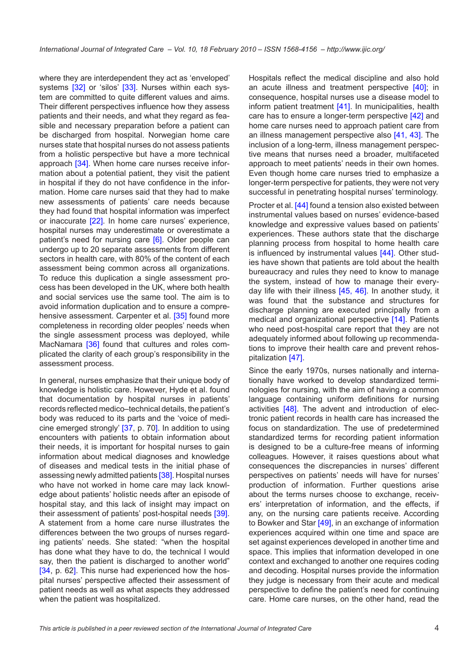where they are interdependent they act as 'enveloped' systems [[32\]](#page-7-0) or 'silos' [[33](#page-7-0)]. Nurses within each system are committed to quite different values and aims. Their different perspectives influence how they assess patients and their needs, and what they regard as feasible and necessary preparation before a patient can be discharged from hospital. Norwegian home care nurses state that hospital nurses do not assess patients from a holistic perspective but have a more technical approach [\[34](#page-7-0)]. When home care nurses receive information about a potential patient, they visit the patient in hospital if they do not have confidence in the information. Home care nurses said that they had to make new assessments of patients' care needs because they had found that hospital information was imperfect or inaccurate [[22\]](#page-6-0). In home care nurses' experience, hospital nurses may underestimate or overestimate a patient's need for nursing care [\[6](#page-6-0)]. Older people can undergo up to 20 separate assessments from different sectors in health care, with 80% of the content of each assessment being common across all organizations. To reduce this duplication a single assessment process has been developed in the UK, where both health and social services use the same tool. The aim is to avoid information duplication and to ensure a compre-hensive assessment. Carpenter et al. [\[35\]](#page-7-0) found more completeness in recording older peoples' needs when the single assessment process was deployed, while MacNamara [\[36](#page-7-0)] found that cultures and roles complicated the clarity of each group's responsibility in the assessment process.

In general, nurses emphasize that their unique body of knowledge is holistic care. However, Hyde et al. found that documentation by hospital nurses in patients' records reflected medico–technical details, the patient's body was reduced to its parts and the 'voice of medicine emerged strongly' [\[37](#page-7-0), p. 70]. In addition to using encounters with patients to obtain information about their needs, it is important for hospital nurses to gain information about medical diagnoses and knowledge of diseases and medical tests in the initial phase of assessing newly admitted patients [[38\]](#page-7-0). Hospital nurses who have not worked in home care may lack knowledge about patients' holistic needs after an episode of hospital stay, and this lack of insight may impact on their assessment of patients' post-hospital needs [\[39\]](#page-7-0). A statement from a home care nurse illustrates the differences between the two groups of nurses regarding patients' needs. She stated: "when the hospital has done what they have to do, the technical I would say, then the patient is discharged to another world" [\[34,](#page-7-0) p. 62]. This nurse had experienced how the hospital nurses' perspective affected their assessment of patient needs as well as what aspects they addressed when the patient was hospitalized.

Hospitals reflect the medical discipline and also hold an acute illness and treatment perspective [[40\]](#page-7-0); in consequence, hospital nurses use a disease model to inform patient treatment [[41\]](#page-7-0). In municipalities, health care has to ensure a longer-term perspective [\[42](#page-7-0)] and home care nurses need to approach patient care from an illness management perspective also [[41,](#page-7-0) [43\]](#page-7-0). The inclusion of a long-term, illness management perspective means that nurses need a broader, multifaceted approach to meet patients' needs in their own homes. Even though home care nurses tried to emphasize a longer-term perspective for patients, they were not very successful in penetrating hospital nurses' terminology.

Procter et al. [[44](#page-7-0)] found a tension also existed between instrumental values based on nurses' evidence-based knowledge and expressive values based on patients' experiences. These authors state that the discharge planning process from hospital to home health care is influenced by instrumental values [\[44\]](#page-7-0). Other studies have shown that patients are told about the health bureaucracy and rules they need to know to manage the system, instead of how to manage their everyday life with their illness [\[45,](#page-7-0) [46](#page-7-0)]. In another study, it was found that the substance and structures for discharge planning are executed principally from a medical and organizational perspective [[14](#page-6-0)]. Patients who need post-hospital care report that they are not adequately informed about following up recommendations to improve their health care and prevent rehospitalization [[47\]](#page-7-0).

Since the early 1970s, nurses nationally and internationally have worked to develop standardized terminologies for nursing, with the aim of having a common language containing uniform definitions for nursing activities [[48\]](#page-7-0). The advent and introduction of electronic patient records in health care has increased the focus on standardization. The use of predetermined standardized terms for recording patient information is designed to be a culture-free means of informing colleagues. However, it raises questions about what consequences the discrepancies in nurses' different perspectives on patients' needs will have for nurses' production of information. Further questions arise about the terms nurses choose to exchange, receivers' interpretation of information, and the effects, if any, on the nursing care patients receive. According to Bowker and Star [\[49](#page-7-0)], in an exchange of information experiences acquired within one time and space are set against experiences developed in another time and space. This implies that information developed in one context and exchanged to another one requires coding and decoding. Hospital nurses provide the information they judge is necessary from their acute and medical perspective to define the patient's need for continuing care. Home care nurses, on the other hand, read the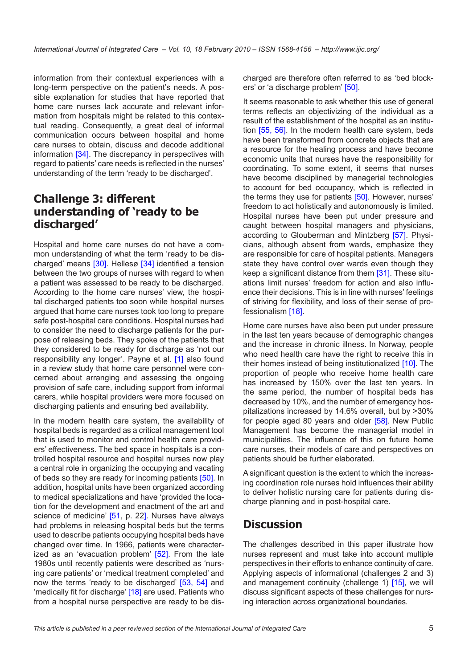information from their contextual experiences with a long-term perspective on the patient's needs. A possible explanation for studies that have reported that home care nurses lack accurate and relevant information from hospitals might be related to this contextual reading. Consequently, a great deal of informal communication occurs between hospital and home care nurses to obtain, discuss and decode additional information [[34\]](#page-7-0). The discrepancy in perspectives with regard to patients' care needs is reflected in the nurses' understanding of the term 'ready to be discharged'.

### **Challenge 3: different understanding of 'ready to be discharged'**

Hospital and home care nurses do not have a common understanding of what the term 'ready to be discharged' means [\[30](#page-7-0)]. Hellesø [\[34](#page-7-0)] identified a tension between the two groups of nurses with regard to when a patient was assessed to be ready to be discharged. According to the home care nurses' view, the hospital discharged patients too soon while hospital nurses argued that home care nurses took too long to prepare safe post-hospital care conditions. Hospital nurses had to consider the need to discharge patients for the purpose of releasing beds. They spoke of the patients that they considered to be ready for discharge as 'not our responsibility any longer'. Payne et al. [[1](#page-6-0)] also found in a review study that home care personnel were concerned about arranging and assessing the ongoing provision of safe care, including support from informal carers, while hospital providers were more focused on discharging patients and ensuring bed availability.

In the modern health care system, the availability of hospital beds is regarded as a critical management tool that is used to monitor and control health care providers' effectiveness. The bed space in hospitals is a controlled hospital resource and hospital nurses now play a central role in organizing the occupying and vacating of beds so they are ready for incoming patients [\[50\]](#page-7-0). In addition, hospital units have been organized according to medical specializations and have 'provided the location for the development and enactment of the art and science of medicine' [[51,](#page-7-0) p. 22]. Nurses have always had problems in releasing hospital beds but the terms used to describe patients occupying hospital beds have changed over time. In 1966, patients were character-ized as an 'evacuation problem' [[52\]](#page-7-0). From the late 1980s until recently patients were described as 'nursing care patients' or 'medical treatment completed' and now the terms 'ready to be discharged' [\[53](#page-7-0), [54](#page-7-0)] and 'medically fit for discharge' [\[18](#page-6-0)] are used. Patients who from a hospital nurse perspective are ready to be discharged are therefore often referred to as 'bed blockers' or 'a discharge problem' [[50\]](#page-7-0).

It seems reasonable to ask whether this use of general terms reflects an objectivizing of the individual as a result of the establishment of the hospital as an institution [\[55,](#page-7-0) [56\]](#page-7-0). In the modern health care system, beds have been transformed from concrete objects that are a resource for the healing process and have become economic units that nurses have the responsibility for coordinating. To some extent, it seems that nurses have become disciplined by managerial technologies to account for bed occupancy, which is reflected in the terms they use for patients [[50](#page-7-0)]. However, nurses' freedom to act holistically and autonomously is limited. Hospital nurses have been put under pressure and caught between hospital managers and physicians, according to Glouberman and Mintzberg [\[57](#page-7-0)]. Physicians, although absent from wards, emphasize they are responsible for care of hospital patients. Managers state they have control over wards even though they keep a significant distance from them [[31](#page-7-0)]. These situations limit nurses' freedom for action and also influence their decisions. This is in line with nurses' feelings of striving for flexibility, and loss of their sense of professionalism [[18\]](#page-6-0).

Home care nurses have also been put under pressure in the last ten years because of demographic changes and the increase in chronic illness. In Norway, people who need health care have the right to receive this in their homes instead of being institutionalized [\[10](#page-6-0)]. The proportion of people who receive home health care has increased by 150% over the last ten years. In the same period, the number of hospital beds has decreased by 10%, and the number of emergency hospitalizations increased by 14.6% overall, but by >30% for people aged 80 years and older [\[58](#page-7-0)]. New Public Management has become the managerial model in municipalities. The influence of this on future home care nurses, their models of care and perspectives on patients should be further elaborated.

A significant question is the extent to which the increasing coordination role nurses hold influences their ability to deliver holistic nursing care for patients during discharge planning and in post-hospital care.

#### **Discussion**

The challenges described in this paper illustrate how nurses represent and must take into account multiple perspectives in their efforts to enhance continuity of care. Applying aspects of informational (challenges 2 and 3) and management continuity (challenge 1) [[15\]](#page-6-0), we will discuss significant aspects of these challenges for nursing interaction across organizational boundaries.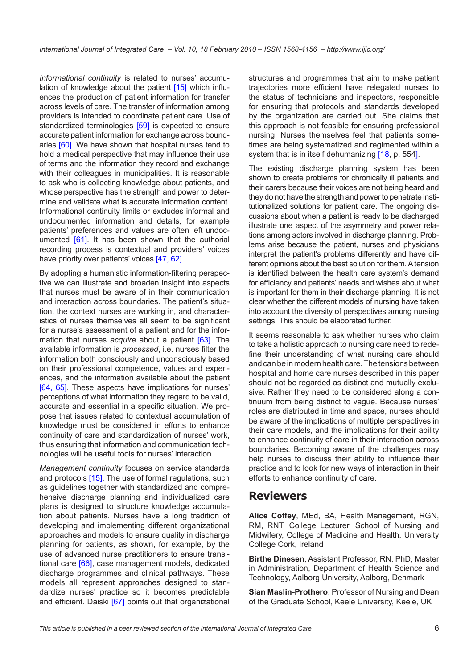*Informational continuity* is related to nurses' accumu-lation of knowledge about the patient [\[15](#page-6-0)] which influences the production of patient information for transfer across levels of care. The transfer of information among providers is intended to coordinate patient care. Use of standardized terminologies [[59](#page-8-0)] is expected to ensure accurate patient information for exchange across boundaries [[60\]](#page-8-0). We have shown that hospital nurses tend to hold a medical perspective that may influence their use of terms and the information they record and exchange with their colleagues in municipalities. It is reasonable to ask who is collecting knowledge about patients, and whose perspective has the strength and power to determine and validate what is accurate information content. Informational continuity limits or excludes informal and undocumented information and details, for example patients' preferences and values are often left undocumented [\[61\]](#page-8-0). It has been shown that the authorial recording process is contextual and providers' voices have priority over patients' voices [\[47,](#page-7-0) [62](#page-8-0)].

By adopting a humanistic information-filtering perspective we can illustrate and broaden insight into aspects that nurses must be aware of in their communication and interaction across boundaries. The patient's situation, the context nurses are working in, and characteristics of nurses themselves all seem to be significant for a nurse's assessment of a patient and for the information that nurses *acquire* about a patient [\[63](#page-8-0)]. The available information is *processed*, i.e. nurses filter the information both consciously and unconsciously based on their professional competence, values and experiences, and the information available about the patient [\[64](#page-8-0), [65](#page-8-0)]. These aspects have implications for nurses' perceptions of what information they regard to be valid, accurate and essential in a specific situation. We propose that issues related to contextual accumulation of knowledge must be considered in efforts to enhance continuity of care and standardization of nurses' work, thus ensuring that information and communication technologies will be useful tools for nurses' interaction.

*Management continuity* focuses on service standards and protocols [[15\]](#page-6-0). The use of formal regulations, such as guidelines together with standardized and comprehensive discharge planning and individualized care plans is designed to structure knowledge accumulation about patients. Nurses have a long tradition of developing and implementing different organizational approaches and models to ensure quality in discharge planning for patients, as shown, for example, by the use of advanced nurse practitioners to ensure transitional care [\[66](#page-8-0)], case management models, dedicated discharge programmes and clinical pathways. These models all represent approaches designed to standardize nurses' practice so it becomes predictable and efficient. Daiski [\[67](#page-8-0)] points out that organizational structures and programmes that aim to make patient trajectories more efficient have relegated nurses to the status of technicians and inspectors, responsible for ensuring that protocols and standards developed by the organization are carried out. She claims that this approach is not feasible for ensuring professional nursing. Nurses themselves feel that patients sometimes are being systematized and regimented within a system that is in itself dehumanizing [[18,](#page-6-0) p. 554].

The existing discharge planning system has been shown to create problems for chronically ill patients and their carers because their voices are not being heard and they do not have the strength and power to penetrate institutionalized solutions for patient care. The ongoing discussions about when a patient is ready to be discharged illustrate one aspect of the asymmetry and power relations among actors involved in discharge planning. Problems arise because the patient, nurses and physicians interpret the patient's problems differently and have different opinions about the best solution for them. A tension is identified between the health care system's demand for efficiency and patients' needs and wishes about what is important for them in their discharge planning. It is not clear whether the different models of nursing have taken into account the diversity of perspectives among nursing settings. This should be elaborated further.

It seems reasonable to ask whether nurses who claim to take a holistic approach to nursing care need to redefine their understanding of what nursing care should and can be in modern health care. The tensions between hospital and home care nurses described in this paper should not be regarded as distinct and mutually exclusive. Rather they need to be considered along a continuum from being distinct to vague. Because nurses' roles are distributed in time and space, nurses should be aware of the implications of multiple perspectives in their care models, and the implications for their ability to enhance continuity of care in their interaction across boundaries. Becoming aware of the challenges may help nurses to discuss their ability to influence their practice and to look for new ways of interaction in their efforts to enhance continuity of care.

#### **Reviewers**

**Alice Coffey**, MEd, BA, Health Management, RGN, RM, RNT, College Lecturer, School of Nursing and Midwifery, College of Medicine and Health, University College Cork, Ireland

**Birthe Dinesen**, Assistant Professor, RN, PhD, Master in Administration, Department of Health Science and Technology, Aalborg University, Aalborg, Denmark

**Sian Maslin-Prothero**, Professor of Nursing and Dean of the Graduate School, Keele University, Keele, UK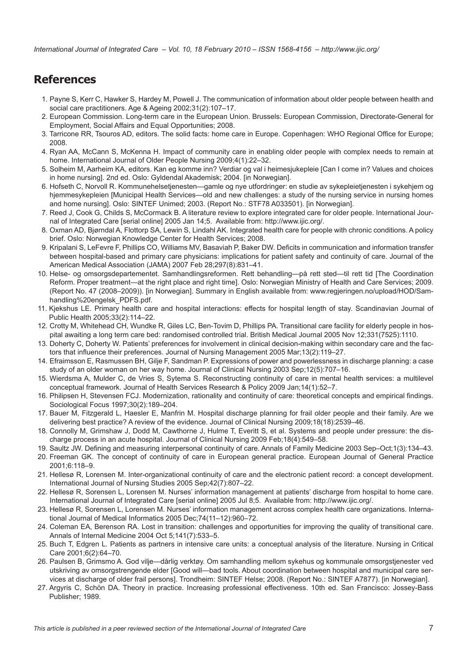<span id="page-6-0"></span>*International Journal of Integrated Care – Vol. 10, 18 February 2010 – ISSN 1568-4156 – http://www.ijic.org/*

# **References**

- 1. Payne S, Kerr C, Hawker S, Hardey M, Powell J. The communication of information about older people between health and social care practitioners. Age & Ageing 2002;31(2):107–17.
- 2. European Commission. Long-term care in the European Union. Brussels: European Commission, Directorate-General for Employment, Social Affairs and Equal Opportunities; 2008.
- 3. Tarricone RR, Tsouros AD, editors. The solid facts: home care in Europe. Copenhagen: WHO Regional Office for Europe; 2008.
- 4. Ryan AA, McCann S, McKenna H. Impact of community care in enabling older people with complex needs to remain at home. International Journal of Older People Nursing 2009;4(1):22–32.
- 5. Solheim M, Aarheim KA, editors. Kan eg komme inn? Verdiar og val i heimesjukepleie [Can I come in? Values and choices in home nursing]. 2nd ed. Oslo: Gyldendal Akademisk; 2004. [in Norwegian].
- 6. Hofseth C, Norvoll R. Kommunehelsetjenesten—gamle og nye utfordringer: en studie av sykepleietjenesten i sykehjem og hjemmesykepleien [Municipal Health Services—old and new challenges: a study of the nursing service in nursing homes and home nursing]. Oslo: SINTEF Unimed; 2003. (Report No.: STF78 A033501). [in Norwegian].
- 7. Reed J, Cook G, Childs S, McCormack B. A literature review to explore integrated care for older people. International Journal of Integrated Care [serial online] 2005 Jan 14;5. Available from: <http://www.ijic.org/>.
- 8. Oxman AD, Bjørndal A, Flottorp SA, Lewin S, Lindahl AK. Integrated health care for people with chronic conditions. A policy brief. Oslo: Norwegian Knowledge Center for Health Services; 2008.
- 9. Kripalani S, LeFevre F, Phillips CO, Williams MV, Basaviah P, Baker DW. Deficits in communication and information transfer between hospital-based and primary care physicians: implications for patient safety and continuity of care. Journal of the American Medical Association (JAMA) 2007 Feb 28;297(8):831–41.
- 10. Helse- og omsorgsdepartementet. Samhandlingsreformen. Rett behandling—på rett sted—til rett tid [The Coordination Reform. Proper treatment—at the right place and right time]. Oslo: Norwegian Ministry of Health and Care Services; 2009. (Report No. 47 (2008–2009)). [in Norwegian]. Summary in English available from: [www.regjeringen.no/upload/HOD/Sam](www.regjeringen.no/upload/HOD/Samhandling%20engelsk_PDFS.pdf)[handling%20engelsk\\_PDFS.pdf.](www.regjeringen.no/upload/HOD/Samhandling%20engelsk_PDFS.pdf)
- 11. Kjekshus LE. Primary health care and hospital interactions: effects for hospital length of stay. Scandinavian Journal of Public Health 2005;33(2):114–22.
- 12. Crotty M, Whitehead CH, Wundke R, Giles LC, Ben-Tovim D, Phillips PA. Transitional care facility for elderly people in hospital awaiting a long term care bed: randomised controlled trial. British Medical Journal 2005 Nov 12;331(7525):1110.
- 13. Doherty C, Doherty W. Patients' preferences for involvement in clinical decision-making within secondary care and the factors that influence their preferences. Journal of Nursing Management 2005 Mar;13(2):119–27.
- 14. Efraimsson E, Rasmussen BH, Gilje F, Sandman P. Expressions of power and powerlessness in discharge planning: a case study of an older woman on her way home. Journal of Clinical Nursing 2003 Sep;12(5):707–16.
- 15. Wierdsma A, Mulder C, de Vries S, Sytema S. Reconstructing continuity of care in mental health services: a multilevel conceptual framework. Journal of Health Services Research & Policy 2009 Jan;14(1):52–7.
- 16. Philipsen H, Stevensen FCJ. Modernization, rationality and continuity of care: theoretical concepts and empirical findings. Sociological Focus 1997;30(2):189–204.
- 17. Bauer M, Fitzgerald L, Haesler E, Manfrin M. Hospital discharge planning for frail older people and their family. Are we delivering best practice? A review of the evidence. Journal of Clinical Nursing 2009;18(18):2539–46.
- 18. Connolly M, Grimshaw J, Dodd M, Cawthorne J, Hulme T, Everitt S, et al. Systems and people under pressure: the discharge process in an acute hospital. Journal of Clinical Nursing 2009 Feb;18(4):549–58.
- 19. Saultz JW. Defining and measuring interpersonal continuity of care. Annals of Family Medicine 2003 Sep–Oct;1(3):134–43.
- 20. Freeman GK. The concept of continuity of care in European general practice. European Journal of General Practice 2001;6:118–9.
- 21. Hellesø R, Lorensen M. Inter-organizational continuity of care and the electronic patient record: a concept development. International Journal of Nursing Studies 2005 Sep;42(7):807–22.
- 22. Hellesø R, Sorensen L, Lorensen M. Nurses' information management at patients' discharge from hospital to home care. International Journal of Integrated Care [serial online] 2005 Jul 8;5. Available from: [http://www.ijic.org/.](http://www.ijic.org/)
- 23. Hellesø R, Sorensen L, Lorensen M. Nurses' information management across complex health care organizations. International Journal of Medical Informatics 2005 Dec;74(11–12):960–72.
- 24. Coleman EA, Berenson RA. Lost in transition: challenges and opportunities for improving the quality of transitional care. Annals of Internal Medicine 2004 Oct 5;141(7):533–5.
- 25. Buch T, Edgren L. Patients as partners in intensive care units: a conceptual analysis of the literature. Nursing in Critical Care 2001;6(2):64–70.
- 26. Paulsen B, Grimsmo A. God vilje—dårlig verktøy. Om samhandling mellom sykehus og kommunale omsorgstjenester ved utskriving av omsorgstrengende elder [Good will—bad tools. About coordination between hospital and municipal care services at discharge of older frail persons]. Trondheim: SINTEF Helse; 2008. (Report No.: SINTEF A7877). [in Norwegian].
- 27. Argyris C, Schön DA. Theory in practice. Increasing professional effectiveness. 10th ed. San Francisco: Jossey-Bass Publisher; 1989.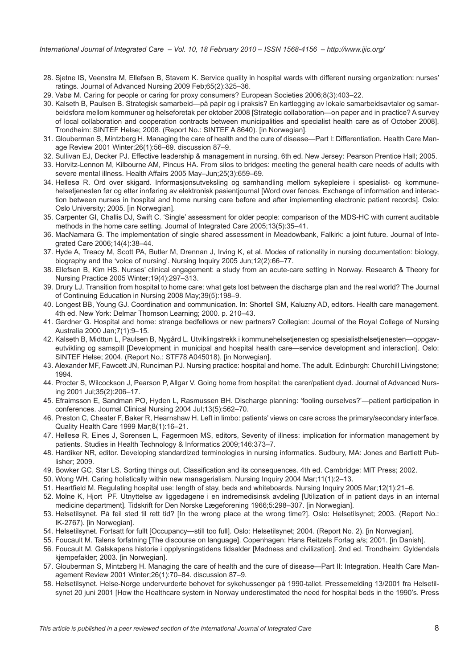- <span id="page-7-0"></span>28. Sjetne IS, Veenstra M, Ellefsen B, Stavem K. Service quality in hospital wards with different nursing organization: nurses' ratings. Journal of Advanced Nursing 2009 Feb;65(2):325–36.
- 29. Vabø M. Caring for people or caring for proxy consumers? European Societies 2006;8(3):403–22.
- 30. Kalseth B, Paulsen B. Strategisk samarbeid—på papir og i praksis? En kartlegging av lokale samarbeidsavtaler og samarbeidsfora mellom kommuner og helseforetak per oktober 2008 [Strategic collaboration—on paper and in practice? A survey of local collaboration and cooperation contracts between municipalities and specialist health care as of October 2008]. Trondheim: SINTEF Helse; 2008. (Report No.: SINTEF A 8640). [in Norwegian].
- 31. Glouberman S, Mintzberg H. Managing the care of health and the cure of disease—Part I: Differentiation. Health Care Manage Review 2001 Winter;26(1):56–69. discussion 87–9.
- 32. Sullivan EJ, Decker PJ. Effective leadership & management in nursing. 6th ed. New Jersey: Pearson Prentice Hall; 2005.
- 33. Horvitz-Lennon M, Kilbourne AM, Pincus HA. From silos to bridges: meeting the general health care needs of adults with severe mental illness. Health Affairs 2005 May–Jun;25(3):659–69.
- 34. Hellesø R. Ord over skigard. Informasjonsutveksling og samhandling mellom sykepleiere i spesialist- og kommunehelsetjenesten før og etter innføring av elektronisk pasientjournal [Word over fences. Exchange of information and interaction between nurses in hospital and home nursing care before and after implementing electronic patient records]. Oslo: Oslo University; 2005. [in Norwegian].
- 35. Carpenter GI, Challis DJ, Swift C. 'Single' assessment for older people: comparison of the MDS-HC with current auditable methods in the home care setting. Journal of Integrated Care 2005;13(5):35–41.
- 36. MacNamara G. The implementation of single shared assessment in Meadowbank, Falkirk: a joint future. Journal of Integrated Care 2006;14(4):38–44.
- 37. Hyde A, Treacy M, Scott PA, Butler M, Drennan J, Irving K, et al. Modes of rationality in nursing documentation: biology, biography and the 'voice of nursing'. Nursing Inquiry 2005 Jun;12(2):66–77.
- 38. Ellefsen B, Kim HS. Nurses' clinical engagement: a study from an acute-care setting in Norway. Research & Theory for Nursing Practice 2005 Winter;19(4):297–313.
- 39. Drury LJ. Transition from hospital to home care: what gets lost between the discharge plan and the real world? The Journal of Continuing Education in Nursing 2008 May;39(5):198–9.
- 40. Longest BB, Young GJ. Coordination and communication. In: Shortell SM, Kaluzny AD, editors. Health care management. 4th ed. New York: Delmar Thomson Learning; 2000. p. 210–43.
- 41. Gardner G. Hospital and home: strange bedfellows or new partners? Collegian: Journal of the Royal College of Nursing Australia 2000 Jan;7(1):9–15.
- 42. Kalseth B, Midttun L, Paulsen B, Nygård L. Utviklingstrekk i kommunehelsetjenesten og spesialisthelsetjenesten—oppgaveutvikling og samspill [Development in municipal and hospital health care—service development and interaction]. Oslo: SINTEF Helse; 2004. (Report No.: STF78 A045018). [in Norwegian].
- 43. Alexander MF, Fawcett JN, Runciman PJ. Nursing practice: hospital and home. The adult. Edinburgh: Churchill Livingstone; 1994.
- 44. Procter S, Wilcockson J, Pearson P, Allgar V. Going home from hospital: the carer/patient dyad. Journal of Advanced Nursing 2001 Jul;35(2):206–17.
- 45. Efraimsson E, Sandman PO, Hyden L, Rasmussen BH. Discharge planning: 'fooling ourselves?'—patient participation in conferences. Journal Clinical Nursing 2004 Jul;13(5):562–70.
- 46. Preston C, Cheater F, Baker R, Hearnshaw H. Left in limbo: patients' views on care across the primary/secondary interface. Quality Health Care 1999 Mar;8(1):16–21.
- 47. Hellesø R, Eines J, Sorensen L, Fagermoen MS, editors, Severity of illness: implication for information management by patients. Studies in Health Technology & Informatics 2009;146:373–7.
- 48. Hardiker NR, editor. Developing standardized terminologies in nursing informatics. Sudbury, MA: Jones and Bartlett Publisher; 2009.
- 49. Bowker GC, Star LS. Sorting things out. Classification and its consequences. 4th ed. Cambridge: MIT Press; 2002.
- 50. Wong WH. Caring holistically within new managerialism. Nursing Inquiry 2004 Mar;11(1):2–13.
- 51. Heartfield M. Regulating hospital use: length of stay, beds and whiteboards. Nursing Inquiry 2005 Mar;12(1):21–6.
- 52. Molne K, Hjort PF. Utnyttelse av liggedagene i en indremedisinsk avdeling [Utilization of in patient days in an internal medicine department]. Tidskrift for Den Norske Lægeforening 1966;5:298–307. [in Norwegian].
- 53. Helsetilsynet. På feil sted til rett tid? [In the wrong place at the wrong time?]. Oslo: Helsetilsynet; 2003. (Report No.: IK-2767). [in Norwegian].
- 54. Helsetilsynet. Fortsatt for fullt [Occupancy—still too full]. Oslo: Helsetilsynet; 2004. (Report No. 2). [in Norwegian].
- 55. Foucault M. Talens forfatning [The discourse on language]. Copenhagen: Hans Reitzels Forlag a/s; 2001. [in Danish].
- 56. Foucault M. Galskapens historie i opplysningstidens tidsalder [Madness and civilization]. 2nd ed. Trondheim: Gyldendals kjempefakler; 2003. [in Norwegian].
- 57. Glouberman S, Mintzberg H. Managing the care of health and the cure of disease—Part II: Integration. Health Care Management Review 2001 Winter;26(1):70–84. discussion 87–9.
- 58. Helsetilsynet. Helse-Norge undervurderte behovet for sykehussenger på 1990-tallet. Pressemelding 13/2001 fra Helsetilsynet 20 juni 2001 [How the Healthcare system in Norway underestimated the need for hospital beds in the 1990's. Press